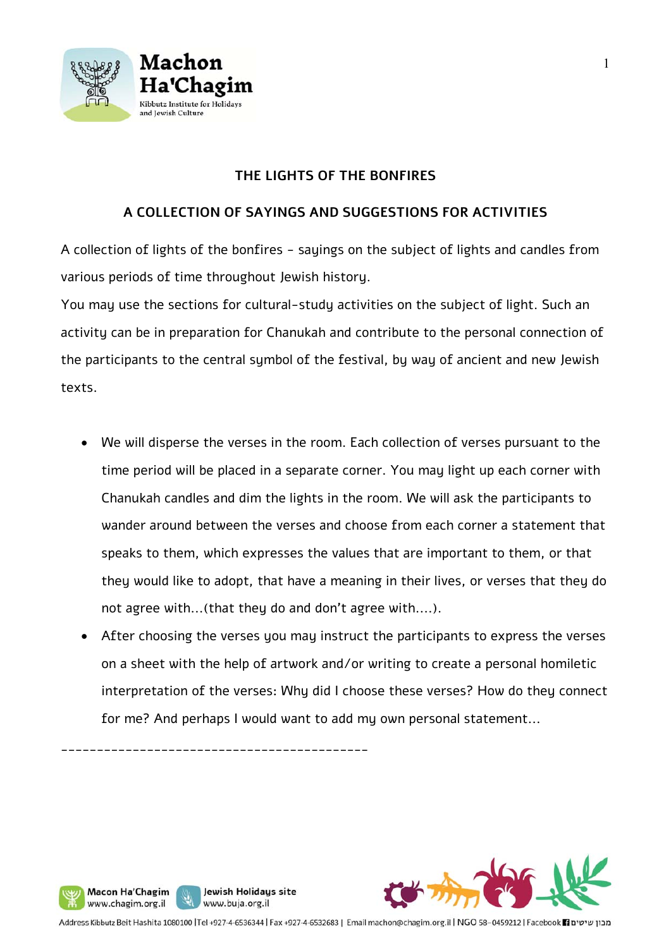

# **THE LIGHTS OF THE BONFIRES**

# **A COLLECTION OF SAYINGS AND SUGGESTIONS FOR ACTIVITIES**

A collection of lights of the bonfires - sayings on the subject of lights and candles from various periods of time throughout Jewish history.

You may use the sections for cultural-study activities on the subject of light. Such an activity can be in preparation for Chanukah and contribute to the personal connection of the participants to the central symbol of the festival, by way of ancient and new Jewish texts.

- We will disperse the verses in the room. Each collection of verses pursuant to the time period will be placed in a separate corner. You may light up each corner with Chanukah candles and dim the lights in the room. We will ask the participants to wander around between the verses and choose from each corner a statement that speaks to them, which expresses the values that are important to them, or that they would like to adopt, that have a meaning in their lives, or verses that they do not agree with...(that they do and don't agree with....).
- After choosing the verses you may instruct the participants to express the verses on a sheet with the help of artwork and/or writing to create a personal homiletic interpretation of the verses: Why did I choose these verses? How do they connect for me? And perhaps I would want to add my own personal statement...

\_\_\_\_\_\_\_\_\_\_\_\_\_\_\_\_\_\_\_\_\_\_\_\_\_\_\_\_\_\_\_\_\_\_\_\_\_\_\_\_\_\_\_

Macon Ha'Chagim www.chagim.org.il

Jewish Holidays site

www.buja.org.il

J ľ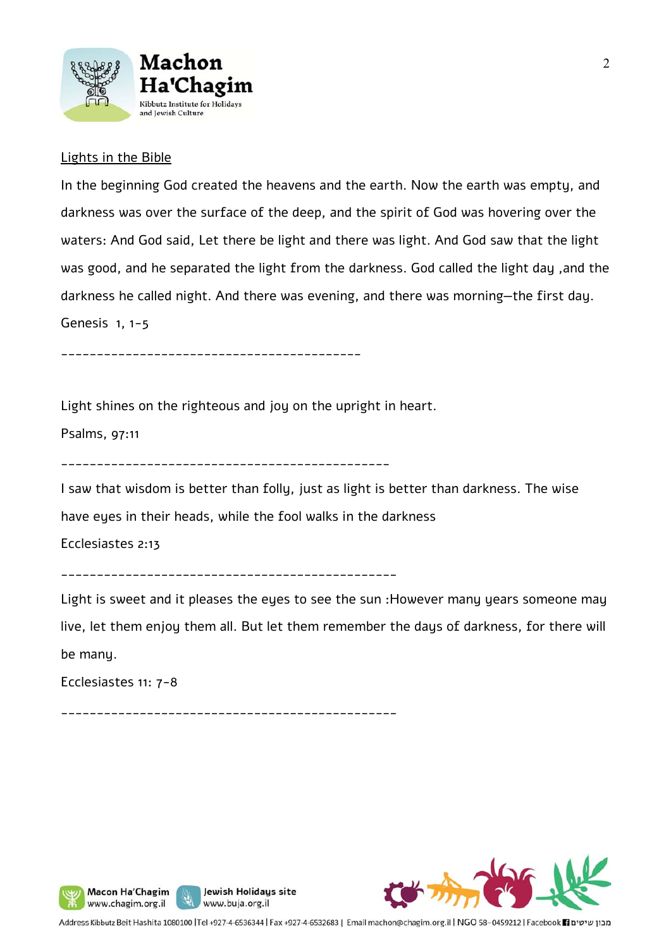

## Lights in the Bible

In the beginning God created the heavens and the earth. Now the earth was empty, and darkness was over the surface of the deep, and the spirit of God was hovering over the waters: And God said, Let there be light and there was light. And God saw that the light was good, and he separated the light from the darkness. God called the light day ,and the darkness he called night. And there was evening, and there was morning—the first day. Genesis 1, 1-5

\_\_\_\_\_\_\_\_\_\_\_\_\_\_\_\_\_\_\_\_\_\_\_\_\_\_\_\_\_\_\_\_\_\_\_\_\_\_\_\_\_\_

Light shines on the righteous and joy on the upright in heart.

Psalms, 97:11

\_\_\_\_\_\_\_\_\_\_\_\_\_\_\_\_\_\_\_\_\_\_\_\_\_\_\_\_\_\_\_\_\_\_\_\_\_\_\_\_\_\_\_\_\_\_

I saw that wisdom is better than folly, just as light is better than darkness. The wise have eyes in their heads, while the fool walks in the darkness

Ecclesiastes 2:13

\_\_\_\_\_\_\_\_\_\_\_\_\_\_\_\_\_\_\_\_\_\_\_\_\_\_\_\_\_\_\_\_\_\_\_\_\_\_\_\_\_\_\_\_\_\_\_

Light is sweet and it pleases the eyes to see the sun :However many years someone may live, let them enjoy them all. But let them remember the days of darkness, for there will be many.

Ecclesiastes 11: 7-8

\_\_\_\_\_\_\_\_\_\_\_\_\_\_\_\_\_\_\_\_\_\_\_\_\_\_\_\_\_\_\_\_\_\_\_\_\_\_\_\_\_\_\_\_\_\_\_







Address Kibbutz Beit Hashita 1080100 |Tel +927-4-6536344 | Fax +927-4-6532683 | Email machon@chagim.org.il | NGO 58-0459212 | Facebook 1 מכון שיטים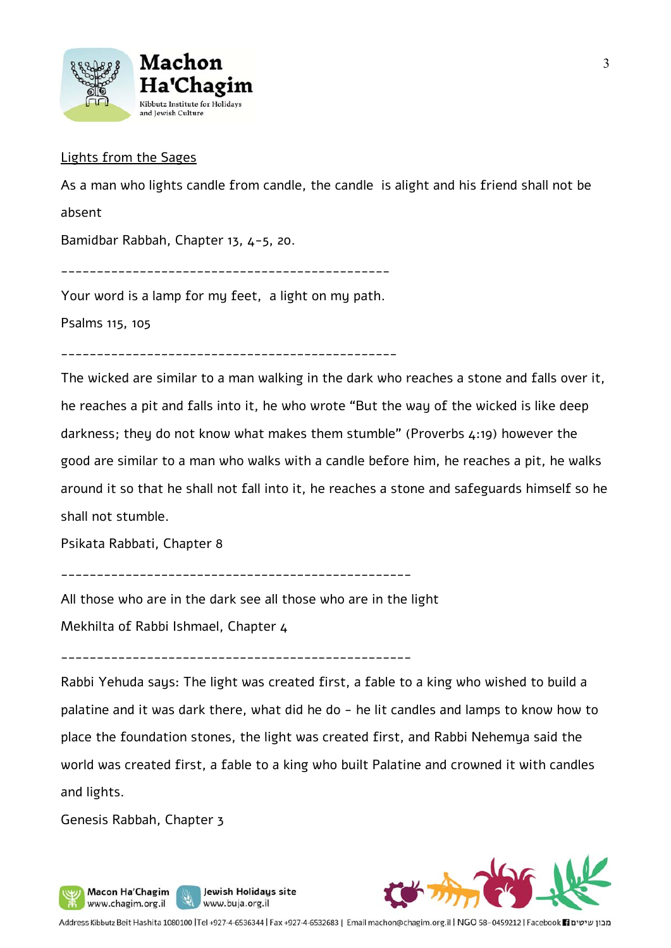

#### Lights from the Sages

As a man who lights candle from candle, the candle is alight and his friend shall not be

absent

Bamidbar Rabbah, Chapter 13, 4-5, 20.

\_\_\_\_\_\_\_\_\_\_\_\_\_\_\_\_\_\_\_\_\_\_\_\_\_\_\_\_\_\_\_\_\_\_\_\_\_\_\_\_\_\_\_\_\_\_

Your word is a lamp for my feet, a light on my path.

Psalms 115, 105

\_\_\_\_\_\_\_\_\_\_\_\_\_\_\_\_\_\_\_\_\_\_\_\_\_\_\_\_\_\_\_\_\_\_\_\_\_\_\_\_\_\_\_\_\_\_\_

The wicked are similar to a man walking in the dark who reaches a stone and falls over it, he reaches a pit and falls into it, he who wrote "But the way of the wicked is like deep darkness; they do not know what makes them stumble" (Proverbs 4:19) however the good are similar to a man who walks with a candle before him, he reaches a pit, he walks around it so that he shall not fall into it, he reaches a stone and safeguards himself so he shall not stumble.

Psikata Rabbati, Chapter 8

\_\_\_\_\_\_\_\_\_\_\_\_\_\_\_\_\_\_\_\_\_\_\_\_\_\_\_\_\_\_\_\_\_\_\_\_\_\_\_\_\_\_\_\_\_\_\_\_\_

All those who are in the dark see all those who are in the light

Jewish Holidays site

www.buja.org.il

Mekhilta of Rabbi Ishmael, Chapter 4

\_\_\_\_\_\_\_\_\_\_\_\_\_\_\_\_\_\_\_\_\_\_\_\_\_\_\_\_\_\_\_\_\_\_\_\_\_\_\_\_\_\_\_\_\_\_\_\_\_

Rabbi Yehuda says: The light was created first, a fable to a king who wished to build a palatine and it was dark there, what did he do - he lit candles and lamps to know how to place the foundation stones, the light was created first, and Rabbi Nehemya said the world was created first, a fable to a king who built Palatine and crowned it with candles and lights.

Genesis Rabbah, Chapter 3

Macon Ha'Chagim www.chagim.org.il



Address Kibbutz Beit Hashita 1080100 |Tel +927-4-6536344 | Fax +927-4-6532683 | Email machon@chagim.org.il | NGO 58-0459212 | Facebook 1 מבון שיטים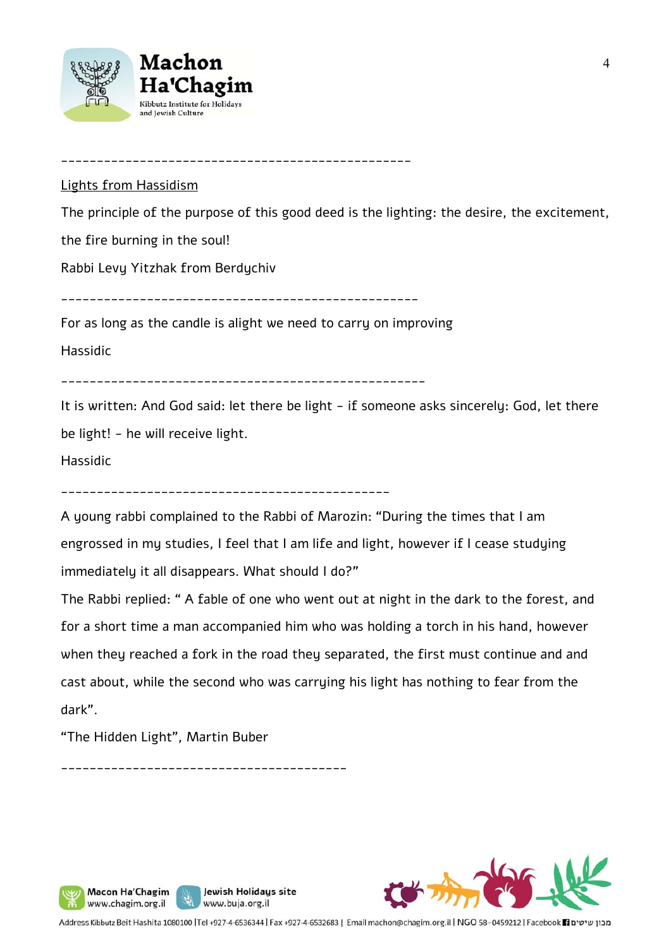

\_\_\_\_\_\_\_\_\_\_\_\_\_\_\_\_\_\_\_\_\_\_\_\_\_\_\_\_\_\_\_\_\_\_\_\_\_\_\_\_\_\_\_\_\_\_\_\_\_

#### Lights from Hassidism

The principle of the purpose of this good deed is the lighting: the desire, the excitement,

the fire burning in the soul!

Rabbi Levy Yitzhak from Berdychiv

\_\_\_\_\_\_\_\_\_\_\_\_\_\_\_\_\_\_\_\_\_\_\_\_\_\_\_\_\_\_\_\_\_\_\_\_\_\_\_\_\_\_\_\_\_\_\_\_\_\_

For as long as the candle is alight we need to carry on improving

Hassidic

\_\_\_\_\_\_\_\_\_\_\_\_\_\_\_\_\_\_\_\_\_\_\_\_\_\_\_\_\_\_\_\_\_\_\_\_\_\_\_\_\_\_\_\_\_\_\_\_\_\_\_

It is written: And God said: let there be light - if someone asks sincerely: God, let there be light! - he will receive light.

Hassidic

A young rabbi complained to the Rabbi of Marozin: "During the times that I am engrossed in my studies, I feel that I am life and light, however if I cease studying immediately it all disappears. What should I do?"

The Rabbi replied: " A fable of one who went out at night in the dark to the forest, and for a short time a man accompanied him who was holding a torch in his hand, however when they reached a fork in the road they separated, the first must continue and and cast about, while the second who was carrying his light has nothing to fear from the dark".

"The Hidden Light", Martin Buber

Macon Ha'Chagim www.chagim.org.il

\_\_\_\_\_\_\_\_\_\_\_\_\_\_\_\_\_\_\_\_\_\_\_\_\_\_\_\_\_\_\_\_\_\_\_\_\_\_\_\_

Jewish Holidays site

www.buja.org.il



Address Kibbutz Beit Hashita 1080100 |Tel +927-4-6536344 | Fax +927-4-6532683 | Email machon@chagim.org.il | NGO 58-0459212 | Facebook 1 מבון שיטים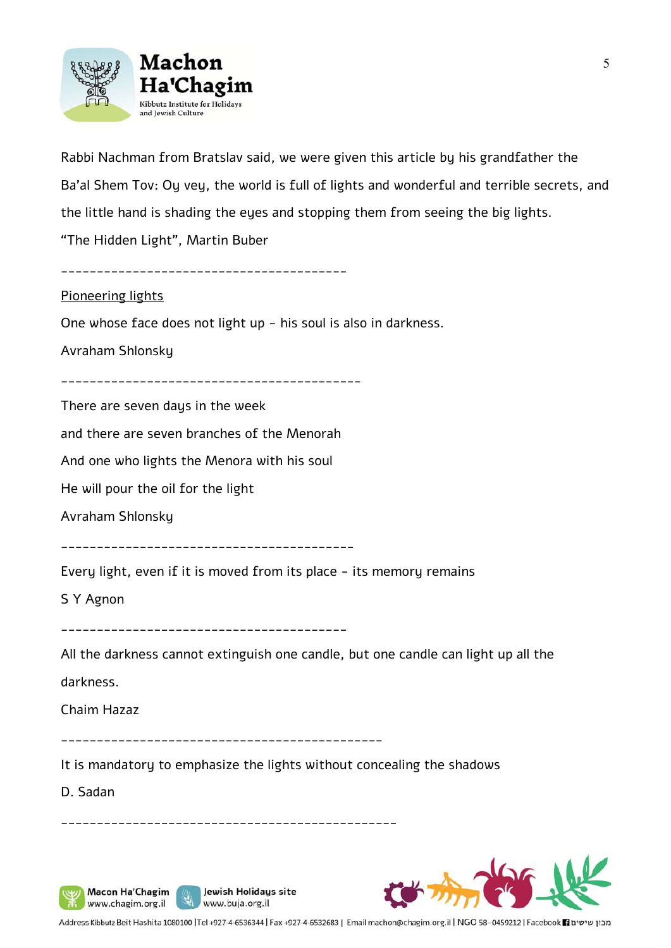

Rabbi Nachman from Bratslav said, we were given this article by his grandfather the Ba'al Shem Tov: Oy vey, the world is full of lights and wonderful and terrible secrets, and the little hand is shading the eyes and stopping them from seeing the big lights. "The Hidden Light", Martin Buber

\_\_\_\_\_\_\_\_\_\_\_\_\_\_\_\_\_\_\_\_\_\_\_\_\_\_\_\_\_\_\_\_\_\_\_\_\_\_\_\_

#### Pioneering lights

One whose face does not light up - his soul is also in darkness.

Avraham Shlonsky

There are seven days in the week

and there are seven branches of the Menorah

And one who lights the Menora with his soul

He will pour the oil for the light

Avraham Shlonsky

\_\_\_\_\_\_\_\_\_\_\_\_\_\_\_\_\_\_\_\_\_\_\_\_\_\_\_\_\_\_\_\_\_\_\_\_\_\_\_\_\_

Every light, even if it is moved from its place - its memory remains

S Y Agnon

\_\_\_\_\_\_\_\_\_\_\_\_\_\_\_\_\_\_\_\_\_\_\_\_\_\_\_\_\_\_\_\_\_\_\_\_\_\_\_\_

All the darkness cannot extinguish one candle, but one candle can light up all the darkness.

Chaim Hazaz

\_\_\_\_\_\_\_\_\_\_\_\_\_\_\_\_\_\_\_\_\_\_\_\_\_\_\_\_\_\_\_\_\_\_\_\_\_\_\_\_\_\_\_\_\_

It is mandatory to emphasize the lights without concealing the shadows

\_\_\_\_\_\_\_\_\_\_\_\_\_\_\_\_\_\_\_\_\_\_\_\_\_\_\_\_\_\_\_\_\_\_\_\_\_\_\_\_\_\_\_\_\_\_\_

Jewish Holidays site

www.buja.org.il

D. Sadan

Macon Ha'Chagim

www.chagim.org.il

ý,



Address Kibbutz Beit Hashita 1080100 |Tel +927-4-6536344 | Fax +927-4-6532683 | Email machon@chagim.org.il | NGO 58-0459212 | Facebook 1 מכון שיטים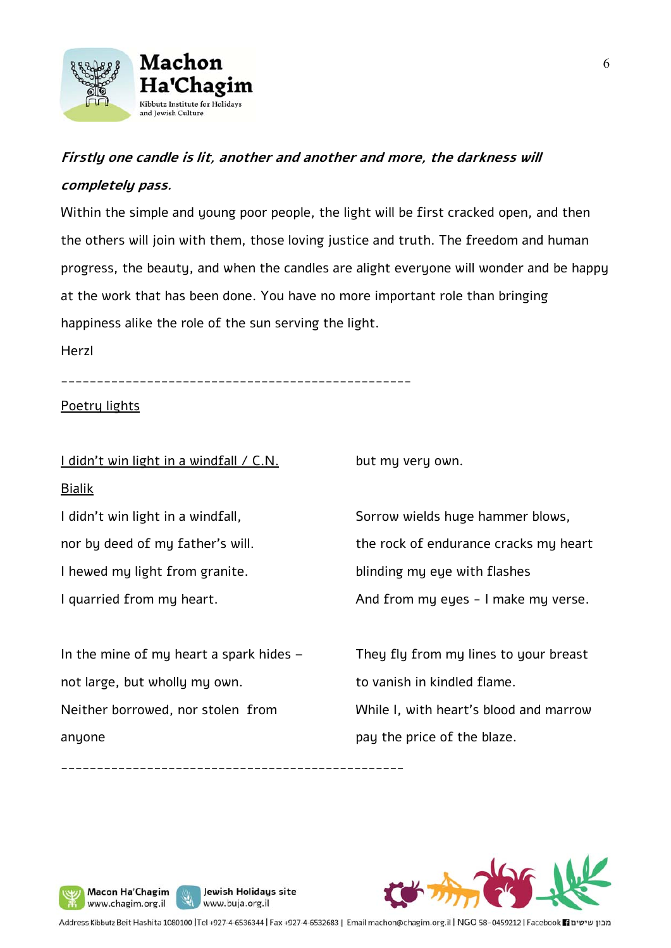

# **Firstly one candle is lit, another and another and more, the darkness will completely pass.**

Within the simple and young poor people, the light will be first cracked open, and then the others will join with them, those loving justice and truth. The freedom and human progress, the beauty, and when the candles are alight everyone will wonder and be happy at the work that has been done. You have no more important role than bringing happiness alike the role of the sun serving the light.

Herzl

\_\_\_\_\_\_\_\_\_\_\_\_\_\_\_\_\_\_\_\_\_\_\_\_\_\_\_\_\_\_\_\_\_\_\_\_\_\_\_\_\_\_\_\_\_\_\_\_\_

### Poetry lights

I didn't win light in a windfall / C.N. Bialik

but my very own.

I didn't win light in a windfall, nor by deed of my father's will. I hewed my light from granite. I quarried from my heart.

In the mine of my heart a spark hides  $$ not large, but wholly my own. Neither borrowed, nor stolen from anyone

\_\_\_\_\_\_\_\_\_\_\_\_\_\_\_\_\_\_\_\_\_\_\_\_\_\_\_\_\_\_\_\_\_\_\_\_\_\_\_\_\_\_\_\_\_\_\_\_

Jewish Holidays site

www.buja.org.il

Sorrow wields huge hammer blows, the rock of endurance cracks my heart blinding my eye with flashes And from my eyes - I make my verse.

They fly from my lines to your breast to vanish in kindled flame. While I, with heart's blood and marrow

pay the price of the blaze.

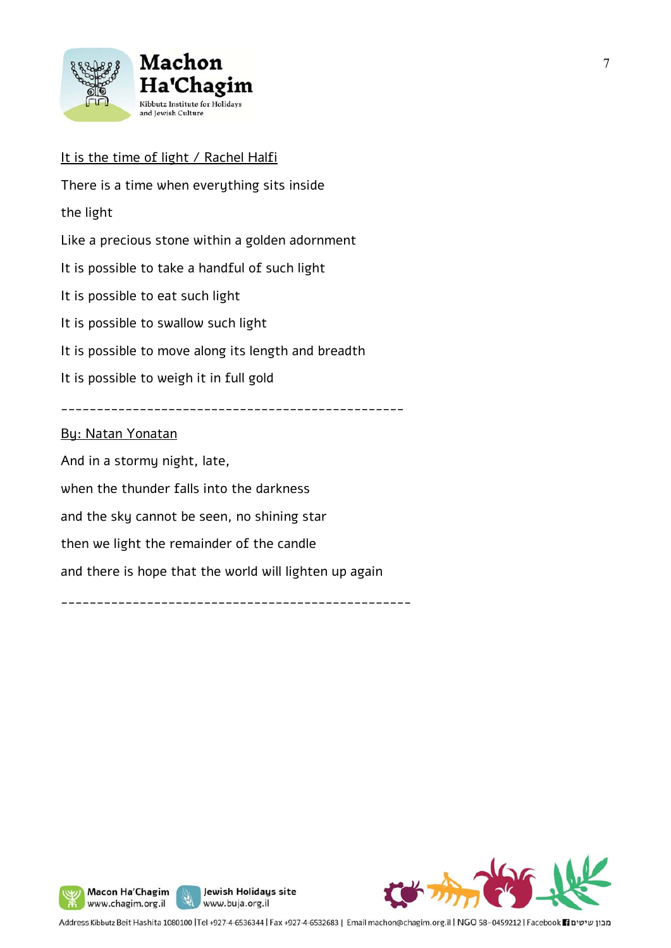

# It is the time of light / Rachel Halfi

There is a time when everything sits inside the light Like a precious stone within a golden adornment It is possible to take a handful of such light It is possible to eat such light It is possible to swallow such light It is possible to move along its length and breadth It is possible to weigh it in full gold \_\_\_\_\_\_\_\_\_\_\_\_\_\_\_\_\_\_\_\_\_\_\_\_\_\_\_\_\_\_\_\_\_\_\_\_\_\_\_\_\_\_\_\_\_\_\_\_ By: Natan Yonatan And in a stormy night, late, when the thunder falls into the darkness and the sky cannot be seen, no shining star then we light the remainder of the candle and there is hope that the world will lighten up again

\_\_\_\_\_\_\_\_\_\_\_\_\_\_\_\_\_\_\_\_\_\_\_\_\_\_\_\_\_\_\_\_\_\_\_\_\_\_\_\_\_\_\_\_\_\_\_\_\_